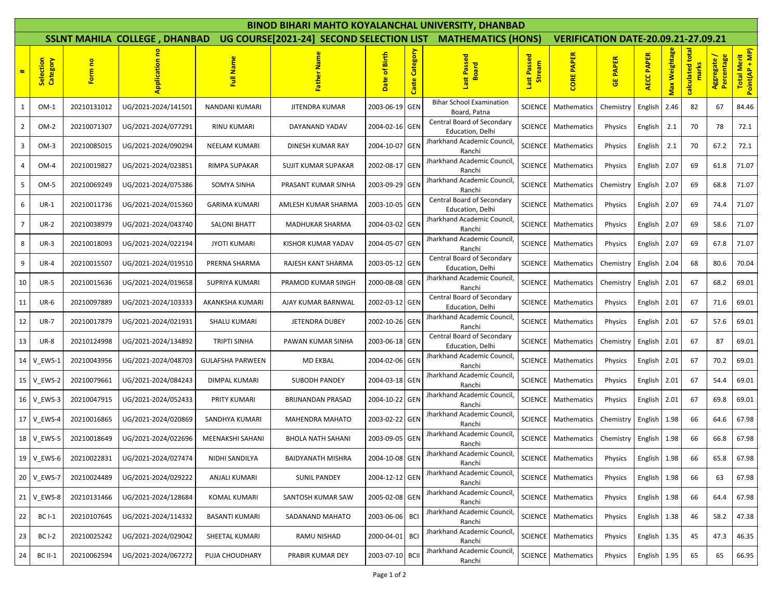| <b>BINOD BIHARI MAHTO KOYALANCHAL UNIVERSITY, DHANBAD</b> |                       |             |                     |                                                             |                          |                  |                |                                                 |                                            |                            |                 |                   |               |                           |                          |                               |
|-----------------------------------------------------------|-----------------------|-------------|---------------------|-------------------------------------------------------------|--------------------------|------------------|----------------|-------------------------------------------------|--------------------------------------------|----------------------------|-----------------|-------------------|---------------|---------------------------|--------------------------|-------------------------------|
| <b>SSLNT MAHILA COLLEGE, DHANBAD</b>                      |                       |             |                     | UG COURSE[2021-24] SECOND SELECTION LIST MATHEMATICS (HONS) |                          |                  |                |                                                 | <b>VERIFICATION DATE-20.09.21-27.09.21</b> |                            |                 |                   |               |                           |                          |                               |
| #                                                         | Selection<br>Category | Form no     |                     | Full Name                                                   | ga                       | of Birth<br>Date | Caste Category | Passed<br><b>Ist Pass</b><br>Board              | Passed<br>ream<br><u>්සි</u><br>last       | <b>CORE PAPER</b>          | <b>GE PAPER</b> | <b>AECC PAPER</b> | Max Weightage | calculated total<br>marks | Percentage<br>Aggregate/ | Total Merit<br>Point(AP + MP) |
| 1                                                         | $OM-1$                | 20210131012 | UG/2021-2024/141501 | NANDANI KUMARI                                              | JITENDRA KUMAR           | 2003-06-19 GEN   |                | <b>Bihar School Examination</b><br>Board, Patna | SCIENCE                                    | Mathematics                | Chemistry       | English           | 2.46          | 82                        | 67                       | 84.46                         |
| $\overline{2}$                                            | OM-2                  | 20210071307 | UG/2021-2024/077291 | <b>RINU KUMARI</b>                                          | DAYANAND YADAV           | 2004-02-16 GEN   |                | Central Board of Secondary<br>Education, Delhi  | <b>SCIENCE</b>                             | Mathematics                | Physics         | English           | 2.1           | 70                        | 78                       | 72.1                          |
| 3                                                         | $OM-3$                | 20210085015 | UG/2021-2024/090294 | NEELAM KUMARI                                               | DINESH KUMAR RAY         | 2004-10-07 GEN   |                | Jharkhand Academic Council<br>Ranchi            | <b>SCIENCE</b>                             | Mathematics                | Physics         | English           | 2.1           | 70                        | 67.2                     | 72.1                          |
| $\overline{4}$                                            | OM-4                  | 20210019827 | UG/2021-2024/023851 | RIMPA SUPAKAR                                               | SUJIT KUMAR SUPAKAR      | 2002-08-17 GEN   |                | Jharkhand Academic Council<br>Ranchi            |                                            | <b>SCIENCE</b> Mathematics | Physics         | English           | 2.07          | 69                        | 61.8                     | 71.07                         |
| 5                                                         | OM-5                  | 20210069249 | UG/2021-2024/075386 | SOMYA SINHA                                                 | PRASANT KUMAR SINHA      | 2003-09-29 GEN   |                | Jharkhand Academic Council<br>Ranchi            | <b>SCIENCE</b>                             | Mathematics                | Chemistry       | English           | 2.07          | 69                        | 68.8                     | 71.07                         |
| 6                                                         | $UR-1$                | 20210011736 | UG/2021-2024/015360 | <b>GARIMA KUMARI</b>                                        | AMLESH KUMAR SHARMA      | 2003-10-05 GEN   |                | Central Board of Secondary<br>Education, Delhi  |                                            | SCIENCE   Mathematics      | Physics         | English           | 2.07          | 69                        | 74.4                     | 71.07                         |
| $\overline{7}$                                            | $UR-2$                | 20210038979 | UG/2021-2024/043740 | <b>SALONI BHATT</b>                                         | MADHUKAR SHARMA          | 2004-03-02 GEN   |                | Jharkhand Academic Council<br>Ranchi            | SCIENCE                                    | Mathematics                | Physics         | English           | 2.07          | 69                        | 58.6                     | 71.07                         |
| 8                                                         | $UR-3$                | 20210018093 | UG/2021-2024/022194 | <b>JYOTI KUMARI</b>                                         | KISHOR KUMAR YADAV       | 2004-05-07 GEN   |                | Jharkhand Academic Council<br>Ranchi            | <b>SCIENCE</b>                             | Mathematics                | Physics         | English           | 2.07          | 69                        | 67.8                     | 71.07                         |
| 9                                                         | $UR-4$                | 20210015507 | UG/2021-2024/019510 | PRERNA SHARMA                                               | RAJESH KANT SHARMA       | 2003-05-12 GEN   |                | Central Board of Secondary<br>Education, Delhi  |                                            | <b>SCIENCE</b> Mathematics | Chemistry       | English           | 2.04          | 68                        | 80.6                     | 70.04                         |
| 10                                                        | <b>UR-5</b>           | 20210015636 | UG/2021-2024/019658 | SUPRIYA KUMARI                                              | PRAMOD KUMAR SINGH       | 2000-08-08 GEN   |                | Jharkhand Academic Council<br>Ranchi            | <b>SCIENCE</b>                             | Mathematics                | Chemistry       | English           | 2.01          | 67                        | 68.2                     | 69.01                         |
| 11                                                        | <b>UR-6</b>           | 20210097889 | UG/2021-2024/103333 | AKANKSHA KUMARI                                             | AJAY KUMAR BARNWAL       | 2002-03-12 GEN   |                | Central Board of Secondary<br>Education, Delhi  | <b>SCIENCE</b>                             | Mathematics                | Physics         | English           | 2.01          | 67                        | 71.6                     | 69.01                         |
| 12                                                        | <b>UR-7</b>           | 20210017879 | UG/2021-2024/021931 | SHALU KUMARI                                                | JETENDRA DUBEY           | 2002-10-26 GEN   |                | Jharkhand Academic Council<br>Ranchi            |                                            | SCIENCE   Mathematics      | Physics         | English           | 2.01          | 67                        | 57.6                     | 69.01                         |
| 13                                                        | <b>UR-8</b>           | 20210124998 | UG/2021-2024/134892 | TRIPTI SINHA                                                | PAWAN KUMAR SINHA        | 2003-06-18 GEN   |                | Central Board of Secondary<br>Education, Delhi  | <b>SCIENCE</b>                             | Mathematics                | Chemistry       | English           | 2.01          | 67                        | 87                       | 69.01                         |
| 14                                                        | V EWS-1               | 20210043956 | UG/2021-2024/048703 | <b>GULAFSHA PARWEEN</b>                                     | <b>MD EKBAL</b>          | 2004-02-06 GEN   |                | Jharkhand Academic Council<br>Ranchi            | <b>SCIENCE</b>                             | Mathematics                | Physics         | English           | 2.01          | 67                        | 70.2                     | 69.01                         |
| 15                                                        | V EWS-2               | 20210079661 | UG/2021-2024/084243 | DIMPAL KUMARI                                               | SUBODH PANDEY            | 2004-03-18 GEN   |                | Jharkhand Academic Council<br>Ranchi            | <b>SCIENCE</b>                             | Mathematics                | Physics         | English           | 2.01          | 67                        | 54.4                     | 69.01                         |
| 16 <sup>1</sup>                                           | V_EWS-3               | 20210047915 | UG/2021-2024/052433 | PRITY KUMARI                                                | BRIJNANDAN PRASAD        | 2004-10-22 GEN   |                | Jharkhand Academic Council<br>Ranchi            | <b>SCIENCE</b>                             | Mathematics                | Physics         | English           | 2.01          | 67                        | 69.8                     | 69.01                         |
|                                                           | 17 V EWS-4            | 20210016865 | UG/2021-2024/020869 | SANDHYA KUMARI                                              | <b>MAHENDRA MAHATO</b>   | 2003-02-22 GEN   |                | <b>Iharkhand Academic Council</b><br>Ranchi     | <b>SCIENCE</b>                             | Mathematics                | Chemistry       | English           | 1.98          | 66                        | 64.6                     | 67.98                         |
|                                                           | 18 V_EWS-5            | 20210018649 | UG/2021-2024/022696 | MEENAKSHI SAHANI                                            | BHOLA NATH SAHANI        | 2003-09-05 GEN   |                | <b>Jharkhand Academic Council</b><br>Ranchi     | <b>SCIENCE</b>                             | Mathematics                | Chemistry       | English           | 1.98          | 66                        | 66.8                     | 67.98                         |
|                                                           | 19 V_EWS-6            | 20210022831 | UG/2021-2024/027474 | NIDHI SANDILYA                                              | <b>BAIDYANATH MISHRA</b> | 2004-10-08 GEN   |                | Jharkhand Academic Council,<br>Ranchi           |                                            | SCIENCE Mathematics        | Physics English |                   | 1.98          | 66                        | 65.8                     | 67.98                         |
|                                                           | 20 V_EWS-7            | 20210024489 | UG/2021-2024/029222 | ANJALI KUMARI                                               | <b>SUNIL PANDEY</b>      | 2004-12-12 GEN   |                | Jharkhand Academic Council,<br>Ranchi           |                                            | SCIENCE   Mathematics      | Physics         | English           | 1.98          | 66                        | 63                       | 67.98                         |
|                                                           | 21 V_EWS-8            | 20210131466 | UG/2021-2024/128684 | <b>KOMAL KUMARI</b>                                         | SANTOSH KUMAR SAW        | 2005-02-08 GEN   |                | Jharkhand Academic Council<br>Ranchi            |                                            | <b>SCIENCE</b> Mathematics | Physics         | English           | 1.98          | 66                        | 64.4                     | 67.98                         |
| 22                                                        | <b>BC I-1</b>         | 20210107645 | UG/2021-2024/114332 | <b>BASANTI KUMARI</b>                                       | SADANAND MAHATO          | 2003-06-06 BCI   |                | Jharkhand Academic Council<br>Ranchi            |                                            | SCIENCE Mathematics        | Physics         | English           | 1.38          | 46                        | 58.2                     | 47.38                         |
| 23                                                        | <b>BC I-2</b>         | 20210025242 | UG/2021-2024/029042 | SHEETAL KUMARI                                              | RAMU NISHAD              | 2000-04-01 BCI   |                | Jharkhand Academic Council<br>Ranchi            |                                            | <b>SCIENCE</b> Mathematics | Physics         | English           | 1.35          | 45                        | 47.3                     | 46.35                         |
| 24                                                        | <b>BC II-1</b>        | 20210062594 | UG/2021-2024/067272 | PUJA CHOUDHARY                                              | PRABIR KUMAR DEY         | 2003-07-10 BCII  |                | Jharkhand Academic Council<br>Ranchi            |                                            | SCIENCE   Mathematics      | Physics         | English           | 1.95          | 65                        | 65                       | 66.95                         |